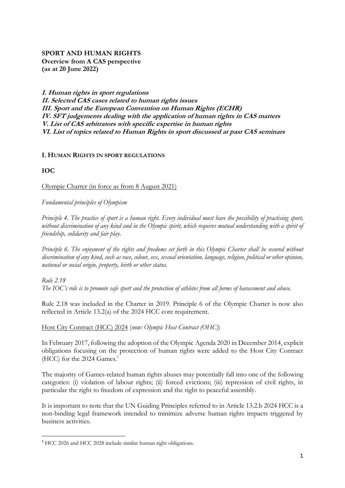# **SPORT AND HUMAN RIGHTS Overview from A CAS perspective (as at 20 June 2022)**

**I. Human rights in sport regulations II. Selected CAS cases related to human rights issues III. Sport and the European Convention on Human Rights (ECHR) IV. SFT judgements dealing with the application of human rights in CAS matters V. List of CAS arbitrators with specific expertise in human rights VI. List of topics related to Human Rights in sport discussed at past CAS seminars**

### **I. HUMAN RIGHTS IN SPORT REGULATIONS**

## **IOC**

**.** 

Olympic Charter (in force as from 8 August 2021)

*Fundamental principles of Olympism*

*Principle 4. The practice of sport is a human right. Every individual must have the possibility of practising sport, without discrimination of any kind and in the Olympic spirit, which requires mutual understanding with a spirit of friendship, solidarity and fair play.*

*Principle 6. The enjoyment of the rights and freedoms set forth in this Olympic Charter shall be secured without discrimination of any kind, such as race, colour, sex, sexual orientation, language, religion, political or other opinion, national or social origin, property, birth or other status.*

*Rule 2.18 The IOC's role is to promote safe sport and the protection of athletes from all forms of harassment and abuse.*

Rule 2.18 was included in the Charter in 2019. Principle 6 of the Olympic Charter is now also reflected in Article 13.2(a) of the 2024 HCC core requirement.

Host City Contract (HCC) 2024 (*now: Olympic Host Contract (OHC)*)

In February 2017, following the adoption of the Olympic Agenda 2020 in December 2014, explicit obligations focusing on the protection of human rights were added to the Host City Contract (HCC) for the 2024 Games.<sup>1</sup>

The majority of Games-related human rights abuses may potentially fall into one of the following categories: (i) violation of labour rights; (ii) forced evictions; (iii) repression of civil rights, in particular the right to freedom of expression and the right to peaceful assembly.

It is important to note that the UN Guiding Principles referred to in Article 13.2.b 2024 HCC is a non-binding legal framework intended to minimize adverse human rights impacts triggered by business activities.

<sup>1</sup> HCC 2026 and HCC 2028 include similar human right obligations.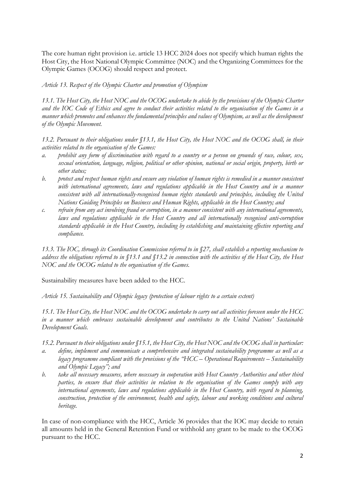The core human right provision i.e. article 13 HCC 2024 does not specify which human rights the Host City, the Host National Olympic Committee (NOC) and the Organizing Committees for the Olympic Games (OCOG) should respect and protect.

*Article 13. Respect of the Olympic Charter and promotion of Olympism* 

*13.1. The Host City, the Host NOC and the OCOG undertake to abide by the provisions of the Olympic Charter and the IOC Code of Ethics and agree to conduct their activities related to the organisation of the Games in a manner which promotes and enhances the fundamental principles and values of Olympism, as well as the development of the Olympic Movement.* 

*13.2. Pursuant to their obligations under §13.1, the Host City, the Host NOC and the OCOG shall, in their activities related to the organisation of the Games:* 

- *a. prohibit any form of discrimination with regard to a country or a person on grounds of race, colour, sex, sexual orientation, language, religion, political or other opinion, national or social origin, property, birth or other status;*
- *b. protect and respect human rights and ensure any violation of human rights is remedied in a manner consistent*  with international agreements, laws and regulations applicable in the Host Country and in a manner *consistent with all internationally-recognised human rights standards and principles, including the United Nations Guiding Principles on Business and Human Rights, applicable in the Host Country; and*
- *c. refrain from any act involving fraud or corruption, in a manner consistent with any international agreements, laws and regulations applicable in the Host Country and all internationally recognised anti-corruption standards applicable in the Host Country, including by establishing and maintaining effective reporting and compliance.*

*13.3. The IOC, through its Coordination Commission referred to in §27, shall establish a reporting mechanism to address the obligations referred to in §13.1 and §13.2 in connection with the activities of the Host City, the Host NOC and the OCOG related to the organisation of the Games.*

Sustainability measures have been added to the HCC.

*Article 15. Sustainability and Olympic legacy (protection of labour rights to a certain extent)*

*15.1. The Host City, the Host NOC and the OCOG undertake to carry out all activities foreseen under the HCC in a manner which embraces sustainable development and contributes to the United Nations' Sustainable Development Goals.* 

*15.2. Pursuant to their obligations under §15.1, the Host City, the Host NOC and the OCOG shall in particular:* 

- *a. define, implement and communicate a comprehensive and integrated sustainability programme as well as a legacy programme compliant with the provisions of the "HCC – Operational Requirements – Sustainability and Olympic Legacy"; and*
- *b. take all necessary measures, where necessary in cooperation with Host Country Authorities and other third parties, to ensure that their activities in relation to the organisation of the Games comply with any international agreements, laws and regulations applicable in the Host Country, with regard to planning, construction, protection of the environment, health and safety, labour and working conditions and cultural heritage.*

In case of non-compliance with the HCC, Article 36 provides that the IOC may decide to retain all amounts held in the General Retention Fund or withhold any grant to be made to the OCOG pursuant to the HCC.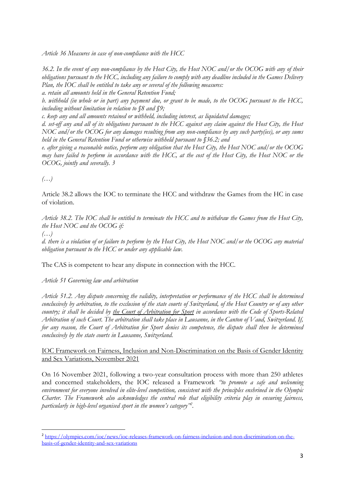*Article 36 Measures in case of non-compliance with the HCC*

*36.2. In the event of any non-compliance by the Host City, the Host NOC and/or the OCOG with any of their obligations pursuant to the HCC, including any failure to comply with any deadline included in the Games Delivery Plan, the IOC shall be entitled to take any or several of the following measures:* 

*a. retain all amounts held in the General Retention Fund;* 

*b. withhold (in whole or in part) any payment due, or grant to be made, to the OCOG pursuant to the HCC, including without limitation in relation to §8 and §9;* 

*c. keep any and all amounts retained or withheld, including interest, as liquidated damages;* 

*d. set-off any and all of its obligations pursuant to the HCC against any claim against the Host City, the Host NOC and/or the OCOG for any damages resulting from any non-compliance by any such party(ies), or any sums held in the General Retention Fund or otherwise withheld pursuant to §36.2; and* 

*e. after giving a reasonable notice, perform any obligation that the Host City, the Host NOC and/or the OCOG may have failed to perform in accordance with the HCC, at the cost of the Host City, the Host NOC or the OCOG, jointly and severally. 3*

*(…)*

Article 38.2 allows the IOC to terminate the HCC and withdraw the Games from the HC in case of violation.

*Article 38.2. The IOC shall be entitled to terminate the HCC and to withdraw the Games from the Host City, the Host NOC and the OCOG if:* 

*(…)*

**.** 

*d. there is a violation of or failure to perform by the Host City, the Host NOC and/or the OCOG any material obligation pursuant to the HCC or under any applicable law.*

The CAS is competent to hear any dispute in connection with the HCC.

*Article 51 Governing law and arbitration*

*Article 51.2. Any dispute concerning the validity, interpretation or performance of the HCC shall be determined conclusively by arbitration, to the exclusion of the state courts of Switzerland, of the Host Country or of any other country; it shall be decided by the Court of Arbitration for Sport in accordance with the Code of Sports-Related Arbitration of such Court. The arbitration shall take place in Lausanne, in the Canton of Vaud, Switzerland. If, for any reason, the Court of Arbitration for Sport denies its competence, the dispute shall then be determined conclusively by the state courts in Lausanne, Switzerland.*

[IOC Framework on Fairness, Inclusion and Non-Discrimination on the Basis of Gender Identity](https://stillmed.olympics.com/media/Documents/News/2021/11/IOC-Framework-Fairness-Inclusion-Non-discrimination-2021.pdf)  [and Sex Variations,](https://stillmed.olympics.com/media/Documents/News/2021/11/IOC-Framework-Fairness-Inclusion-Non-discrimination-2021.pdf) November 2021

On 16 November 2021, following a two-year consultation process with more than 250 athletes and concerned stakeholders, the IOC released a Framework *"to promote a safe and welcoming environment for everyone involved in elite-level competition, consistent with the principles enshrined in the Olympic Charter. The Framework also acknowledges the central role that eligibility criteria play in ensuring fairness, particularly in high-level organised sport in the women's category"<sup>2</sup> .*

<sup>&</sup>lt;sup>2</sup> [https://olympics.com/ioc/news/ioc-releases-framework-on-fairness-inclusion-and-non-discrimination-on-the](https://olympics.com/ioc/news/ioc-releases-framework-on-fairness-inclusion-and-non-discrimination-on-the-basis-of-gender-identity-and-sex-variations)[basis-of-gender-identity-and-sex-variations](https://olympics.com/ioc/news/ioc-releases-framework-on-fairness-inclusion-and-non-discrimination-on-the-basis-of-gender-identity-and-sex-variations)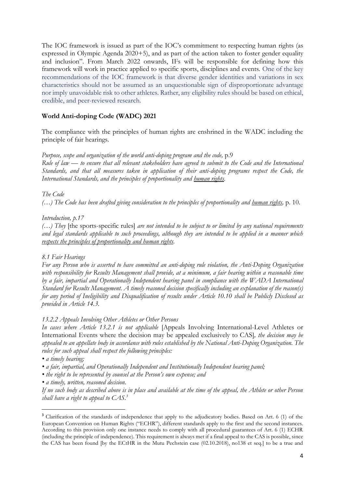The IOC framework is issued as part of the IOC's commitment to respecting human rights (as expressed in Olympic Agenda 2020+5), and as part of the action taken to foster gender equality and inclusion". From March 2022 onwards, IFs will be responsible for defining how this framework will work in practice applied to specific sports, disciplines and events. One of the key recommendations of the IOC framework is that diverse gender identities and variations in sex characteristics should not be assumed as an unquestionable sign of disproportionate advantage nor imply unavoidable risk to other athletes. Rather, any eligibility rules should be based on ethical, credible, and peer-reviewed research.

## **World Anti-doping Code (WADC) 2021**

The compliance with the principles of human rights are enshrined in the WADC including the principle of fair hearings.

*Purpose, scope and organization of the world anti-doping program and the code,* p.9

*Rule of law — to ensure that all relevant stakeholders have agreed to submit to the Code and the International Standards, and that all measures taken in application of their anti-doping programs respect the Code, the International Standards, and the principles of proportionality and human rights.*

*The Code*

*(…) The Code has been drafted giving consideration to the principles of proportionality and human rights,* p. 10.

### *Introduction, p.17*

*(…) They* [the sports-specific rules] *are not intended to be subject to or limited by any national requirements and legal standards applicable to such proceedings, although they are intended to be applied in a manner which respects the principles of proportionality and human rights.*

### *8.1 Fair Hearings*

*For any Person who is asserted to have committed an anti-doping rule violation, the Anti-Doping Organization*  with responsibility for Results Management shall provide, at a minimum, a fair hearing within a reasonable time *by a fair, impartial and Operationally Independent hearing panel in compliance with the WADA International Standard for Results Management. A timely reasoned decision specifically including an explanation of the reason(s) for any period of Ineligibility and Disqualification of results under Article 10.10 shall be Publicly Disclosed as provided in Article 14.3.* 

#### *13.2.2 Appeals Involving Other Athletes or Other Persons*

*In cases where Article 13.2.1 is not applicable* [Appeals Involving International-Level Athletes or International Events where the decision may be appealed exclusively to CAS]*, the decision may be appealed to an appellate body in accordance with rules established by the National Anti-Doping Organization. The rules for such appeal shall respect the following principles:* 

*• a timely hearing;* 

**.** 

- *a fair, impartial, and Operationally Independent and Institutionally Independent hearing panel;*
- *the right to be represented by counsel at the Person's own expense; and*
- *a timely, written, reasoned decision.*

*If no such body as described above is in place and available at the time of the appeal, the Athlete or other Person shall have a right to appeal to CAS.<sup>3</sup>*

<sup>&</sup>lt;sup>3</sup> Clarification of the standards of independence that apply to the adjudicatory bodies. Based on Art. 6 (1) of the European Convention on Human Rights ("ECHR"), different standards apply to the first and the second instances. According to this provision only one instance needs to comply with all procedural guarantees of Art. 6 (1) ECHR (including the principle of independence). This requirement is always met if a final appeal to the CAS is possible, since the CAS has been found [by the ECtHR in the Mutu Pechstein case (02.10.2018), no138 et seq.] to be a true and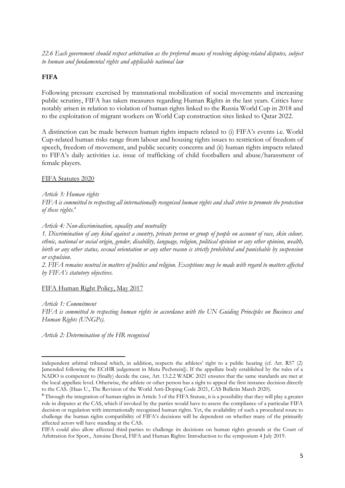*22.6 Each government should respect arbitration as the preferred means of resolving doping-related disputes, subject to human and fundamental rights and applicable national law*

## **FIFA**

Following pressure exercised by transnational mobilization of social movements and increasing public scrutiny, FIFA has taken measures regarding Human Rights in the last years. Critics have notably arisen in relation to violation of human rights linked to the Russia World Cup in 2018 and to the exploitation of migrant workers on World Cup construction sites linked to Qatar 2022.

A distinction can be made between human rights impacts related to (i) FIFA's events i.e. World Cup-related human risks range from labour and housing rights issues to restriction of freedom of speech, freedom of movement, and public security concerns and (ii) human rights impacts related to FIFA's daily activities i.e. issue of trafficking of child footballers and abuse/harassment of female players.

FIFA Statutes 2020

*Article 3: Human rights* 

*FIFA is committed to respecting all internationally recognised human rights and shall strive to promote the protection of these rights.<sup>4</sup>*

*Article 4: Non-discrimination, equality and neutrality* 

*1. Discrimination of any kind against a country, private person or group of people on account of race, skin colour, ethnic, national or social origin, gender, disability, language, religion, political opinion or any other opinion, wealth, birth or any other status, sexual orientation or any other reason is strictly prohibited and punishable by suspension or expulsion.* 

*2. FIFA remains neutral in matters of politics and religion. Exceptions may be made with regard to matters affected by FIFA's statutory objectives.*

#### FIFA Human Right Policy, May 2017

*Article 1: Commitment FIFA is committed to respecting human rights in accordance with the UN Guiding Principles on Business and Human Rights (UNGPs).*

*Article 2: Determination of the HR recognised*

**<sup>.</sup>** independent arbitral tribunal which, in addition, respects the athletes' right to a public hearing (cf. Art. R57 (2) [amended following the ECtHR judgement in Mutu Pechstein]). If the appellate body established by the rules of a NADO is competent to (finally) decide the case, Art. 13.2.2 WADC 2021 ensures that the same standards are met at the local appellate level. Otherwise, the athlete or other person has a right to appeal the first instance decision directly to the CAS. (Haas U., The Revision of the World Anti-Doping Code 2021, CAS Bulletin March 2020).

<sup>&</sup>lt;sup>4</sup> Through the integration of human rights in Article 3 of the FIFA Statute, it is a possibility that they will play a greater role in disputes at the CAS, which if invoked by the parties would have to assess the compliance of a particular FIFA decision or regulation with internationally recognised human rights. Yet, the availability of such a procedural route to challenge the human rights compatibility of FIFA's decisions will be dependent on whether many of the primarily affected actors will have standing at the CAS.

FIFA could also allow affected third-parties to challenge its decisions on human rights grounds at the Court of Arbitration for Sport., Antoine Duval, FIFA and Human Rights: Introduction to the symposium 4 July 2019.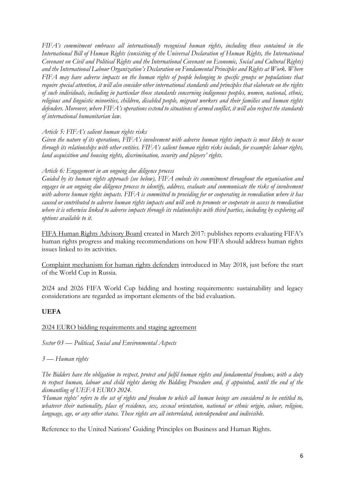*FIFA's commitment embraces all internationally recognised human rights, including those contained in the International Bill of Human Rights (consisting of the Universal Declaration of Human Rights, the International Covenant on Civil and Political Rights and the International Covenant on Economic, Social and Cultural Rights) and the International Labour Organization's Declaration on Fundamental Principles and Rights at Work. Where FIFA may have adverse impacts on the human rights of people belonging to specific groups or populations that require special attention, it will also consider other international standards and principles that elaborate on the rights of such individuals, including in particular those standards concerning indigenous peoples, women, national, ethnic, religious and linguistic minorities, children, disabled people, migrant workers and their families and human rights defenders. Moreover, where FIFA's operations extend to situations of armed conflict, it will also respect the standards of international humanitarian law.*

*Article 5: FIFA's salient human rights risks*

*Given the nature of its operations, FIFA's involvement with adverse human rights impacts is most likely to occur through its relationships with other entities. FIFA's salient human rights risks include, for example: labour rights, land acquisition and housing rights, discrimination, security and players' rights.*

## *Article 6: Engagement in an ongoing due diligence process*

*Guided by its human rights approach (see below), FIFA embeds its commitment throughout the organisation and*  engages in an ongoing due diligence process to identify, address, evaluate and communicate the risks of involvement *with adverse human rights impacts. FIFA is committed to providing for or cooperating in remediation where it has caused or contributed to adverse human rights impacts and will seek to promote or cooperate in access to remediation where it is otherwise linked to adverse impacts through its relationships with third parties, including by exploring all options available to it.*

FIFA Human Rights Advisory Board created in March 2017: publishes reports evaluating FIFA's human rights progress and making recommendations on how FIFA should address human rights issues linked to its activities.

Complaint [mechanism](https://www.fifa.com/governance/news/y=2018/m=5/news=fifa-launches-complaints-mechanism-for-human-rights-defenders-and-journalists.html) for human rights defenders introduced in May 2018, just before the start of the World Cup in Russia.

2024 and 2026 FIFA World Cup bidding and hosting requirements: sustainability and legacy considerations are regarded as important elements of the bid evaluation.

# **UEFA**

### 2024 EURO bidding requirements and staging agreement

*Sector 03 — Political, Social and Environmental Aspects*

*3 — Human rights* 

*The Bidders have the obligation to respect, protect and fulfil human rights and fundamental freedoms, with a duty to respect human, labour and child rights during the Bidding Procedure and, if appointed, until the end of the dismantling of UEFA EURO 2024.* 

*'Human rights' refers to the set of rights and freedom to which all human beings are considered to be entitled to, whatever their nationality, place of residence, sex, sexual orientation, national or ethnic origin, colour, religion, language, age, or any other status. These rights are all interrelated, interdependent and indivisible.*

Reference to the United Nations' Guiding Principles on Business and Human Rights.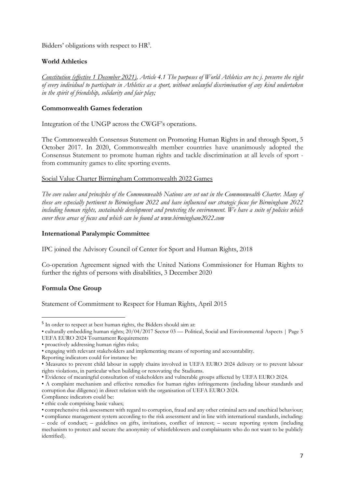Bidders' obligations with respect to HR<sup>5</sup>.

# **World Athletics**

*Constitution (effective 1 December 2021), Article 4.1 The purposes of World Athletics are to: j. preserve the right of every individual to participate in Athletics as a sport, without unlawful discrimination of any kind undertaken in the spirit of friendship, solidarity and fair play;* 

## **Commonwealth Games federation**

Integration of the UNGP across the CWGF's operations.

The Commonwealth Consensus Statement on Promoting Human Rights in and through Sport, 5 October 2017. In 2020, Commonwealth member countries have unanimously adopted the Consensus Statement to promote human rights and tackle discrimination at all levels of sport from community games to elite sporting events.

### Social Value Charter Birmingham Commonwealth 2022 Games

*The core values and principles of the Commonwealth Nations are set out in the Commonwealth Charter. Many of these are especially pertinent to Birmingham 2022 and have influenced our strategic focus for Birmingham 2022 including human rights, sustainable development and protecting the environment. We have a suite of policies which cover these areas of focus and which can be found at www.birmingham2022.com*

## **International Paralympic Committee**

IPC joined the Advisory Council of Center for Sport and Human Rights, 2018

Co-operation Agreement signed with the United Nations Commissioner for Human Rights to further the rights of persons with disabilities, 3 December 2020

# **Formula One Group**

**.** 

Statement of Commitment to Respect for Human Rights, April 2015

<sup>&</sup>lt;sup>5</sup> In order to respect at best human rights, the Bidders should aim at:

<sup>•</sup> culturally embedding human rights; 20/04/2017 Sector 03 — Political, Social and Environmental Aspects | Page 5 UEFA EURO 2024 Tournament Requirements

<sup>•</sup> proactively addressing human rights risks;

<sup>•</sup> engaging with relevant stakeholders and implementing means of reporting and accountability.

Reporting indicators could for instance be:

<sup>•</sup> Measures to prevent child labour in supply chains involved in UEFA EURO 2024 delivery or to prevent labour rights violations, in particular when building or renovating the Stadiums.

<sup>•</sup> Evidence of meaningful consultation of stakeholders and vulnerable groups affected by UEFA EURO 2024.

<sup>•</sup> A complaint mechanism and effective remedies for human rights infringements (including labour standards and corruption due diligence) in direct relation with the organisation of UEFA EURO 2024.

Compliance indicators could be:

<sup>•</sup> ethic code comprising basic values;

<sup>•</sup> comprehensive risk assessment with regard to corruption, fraud and any other criminal acts and unethical behaviour;

<sup>•</sup> compliance management system according to the risk assessment and in line with international standards, including: – code of conduct; – guidelines on gifts, invitations, conflict of interest; – secure reporting system (including mechanism to protect and secure the anonymity of whistleblowers and complainants who do not want to be publicly identified).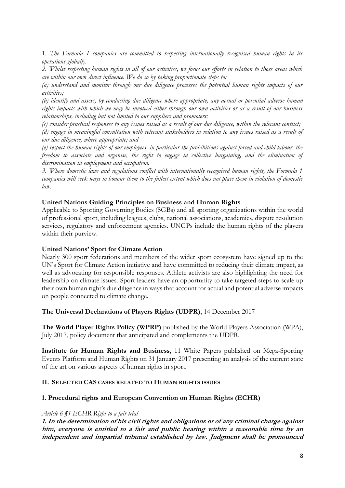1*. The Formula 1 companies are committed to respecting internationally recognised human rights in its operations globally.*

*2. Whilst respecting human rights in all of our activities, we focus our efforts in relation to those areas which are within our own direct influence. We do so by taking proportionate steps to:*

*(a) understand and monitor through our due diligence processes the potential human rights impacts of our activities;*

*(b) identify and assess, by conducting due diligence where appropriate, any actual or potential adverse human rights impacts with which we may be involved either through our own activities or as a result of our business relationships, including but not limited to our suppliers and promoters;*

*(c) consider practical responses to any issues raised as a result of our due diligence, within the relevant context; (d) engage in meaningful consultation with relevant stakeholders in relation to any issues raised as a result of our due diligence, where appropriate; and*

*(e) respect the human rights of our employees, in particular the prohibitions against forced and child labour, the freedom to associate and organise, the right to engage in collective bargaining, and the elimination of discrimination in employment and occupation.*

*3. Where domestic laws and regulations conflict with internationally recognised human rights, the Formula 1 companies will seek ways to honour them to the fullest extent which does not place them in violation of domestic law.*

#### **United Nations Guiding Principles on Business and Human Rights**

Applicable to Sporting Governing Bodies (SGBs) and all sporting organizations within the world of professional sport, including leagues, clubs, national associations, academies, dispute resolution services, regulatory and enforcement agencies. UNGPs include the human rights of the players within their purview.

#### **United Nations' Sport for Climate Action**

Nearly 300 sport federations and members of the wider sport ecosystem have signed up to the UN's Sport for Climate Action initiative and have committed to reducing their climate impact, as well as advocating for responsible responses. Athlete activists are also highlighting the need for leadership on climate issues. Sport leaders have an opportunity to take targeted steps to scale up their own human right's due diligence in ways that account for actual and potential adverse impacts on people connected to climate change.

#### **The Universal Declarations of Players Rights (UDPR)**, 14 December 2017

**The World Player Rights Policy (WPRP)** published by the World Players Association (WPA), July 2017, policy document that anticipated and complements the UDPR.

**Institute for Human Rights and Business**, 11 White Papers published on Mega-Sporting Events Platform and Human Rights on 31 January 2017 presenting an analysis of the current state of the art on various aspects of human rights in sport.

#### **II. SELECTED CAS CASES RELATED TO HUMAN RIGHTS ISSUES**

#### **1. Procedural rights and European Convention on Human Rights (ECHR)**

#### *Article 6 §1 ECHR Right to a fair trial*

**1. In the determination of his civil rights and obligations or of any criminal charge against him, everyone is entitled to a fair and public hearing within a reasonable time by an independent and impartial tribunal established by law. Judgment shall be pronounced**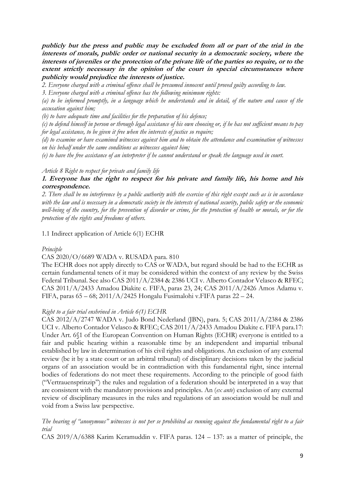**publicly but the press and public may be excluded from all or part of the trial in the interests of morals, public order or national security in a democratic society, where the interests of juveniles or the protection of the private life of the parties so require, or to the extent strictly necessary in the opinion of the court in special circumstances where publicity would prejudice the interests of justice.** 

*2. Everyone charged with a criminal offence shall be presumed innocent until proved guilty according to law.* 

*3. Everyone charged with a criminal offence has the following minimum rights:* 

*(a) to be informed promptly, in a language which he understands and in detail, of the nature and cause of the accusation against him;* 

*(b) to have adequate time and facilities for the preparation of his defence;* 

*(c) to defend himself in person or through legal assistance of his own choosing or, if he has not sufficient means to pay for legal assistance, to be given it free when the interests of justice so require;* 

*(d) to examine or have examined witnesses against him and to obtain the attendance and examination of witnesses on his behalf under the same conditions as witnesses against him;* 

*(e) to have the free assistance of an interpreter if he cannot understand or speak the language used in court.*

#### *Article 8 Right to respect for private and family life*

## **1. Everyone has the right to respect for his private and family life, his home and his correspondence.**

*2. There shall be no interference by a public authority with the exercise of this right except such as is in accordance with the law and is necessary in a democratic society in the interests of national security, public safety or the economic well-being of the country, for the prevention of disorder or crime, for the protection of health or morals, or for the protection of the rights and freedoms of others.*

1.1 Indirect application of Article 6(1) ECHR

### *Principle*

### CAS 2020/O/6689 WADA v. RUSADA para. 810

The ECHR does not apply directly to CAS or WADA, but regard should be had to the ECHR as certain fundamental tenets of it may be considered within the context of any review by the Swiss Federal Tribunal. See also CAS 2011/A/2384 & 2386 UCI v. Alberto Contador Velasco & RFEC; CAS 2011/A/2433 Amadou Diakite c. FIFA, paras 23, 24; CAS 2011/A/2426 Amos Adamu v. FIFA, paras 65 – 68; 2011/A/2425 Hongalu Fusimalohi v.FIFA paras 22 – 24.

### *Right to a fair trial enshrined in Article 6(1) ECHR*

CAS 2012/A/2747 WADA v. Judo Bond Nederland (JBN), para. 5; CAS 2011/A/2384 & 2386 UCI v. Alberto Contador Velasco & RFEC; CAS 2011/A/2433 Amadou Diakite c. FIFA para.17: Under Art. 6§1 of the European Convention on Human Rights (ECHR) everyone is entitled to a fair and public hearing within a reasonable time by an independent and impartial tribunal established by law in determination of his civil rights and obligations. An exclusion of any external review (be it by a state court or an arbitral tribunal) of disciplinary decisions taken by the judicial organs of an association would be in contradiction with this fundamental right, since internal bodies of federations do not meet these requirements. According to the principle of good faith ("Vertrauensprinzip") the rules and regulation of a federation should be interpreted in a way that are consistent with the mandatory provisions and principles. An (*ex ante*) exclusion of any external review of disciplinary measures in the rules and regulations of an association would be null and void from a Swiss law perspective.

*The hearing of "anonymous" witnesses is not per se prohibited as running against the fundamental right to a fair trial*

CAS 2019/A/6388 Karim Keramuddin v. FIFA paras. 124 – 137: as a matter of principle, the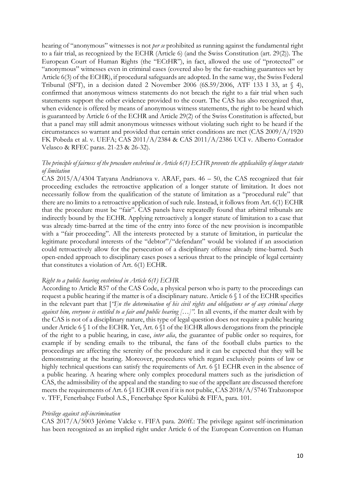hearing of "anonymous" witnesses is not *per se* prohibited as running against the fundamental right to a fair trial, as recognized by the ECHR (Article 6) (and the Swiss Constitution (art. 29(2)). The European Court of Human Rights (the "ECtHR"), in fact, allowed the use of "protected" or "anonymous" witnesses even in criminal cases (covered also by the far-reaching guarantees set by Article 6(3) of the ECHR), if procedural safeguards are adopted. In the same way, the Swiss Federal Tribunal (SFT), in a decision dated 2 November 2006 (6S.59/2006, ATF 133 I 33, at § 4), confirmed that anonymous witness statements do not breach the right to a fair trial when such statements support the other evidence provided to the court. The CAS has also recognized that, when evidence is offered by means of anonymous witness statements, the right to be heard which is guaranteed by Article 6 of the ECHR and Article 29(2) of the Swiss Constitution is affected, but that a panel may still admit anonymous witnesses without violating such right to be heard if the circumstances so warrant and provided that certain strict conditions are met (CAS 2009/A/1920 FK Pobeda et al. v. UEFA; CAS 2011/A/2384 & CAS 2011/A/2386 UCI v. Alberto Contador Velasco & RFEC paras. 21-23 & 26-32).

### *The principle of fairness of the procedure enshrined in Article 6(1) ECHR prevents the applicability of longer statute of limitation*

CAS 2015/A/4304 Tatyana Andrianova v. ARAF, pars. 46 – 50, the CAS recognized that fair proceeding excludes the retroactive application of a longer statute of limitation. It does not necessarily follow from the qualification of the statute of limitation as a "procedural rule" that there are no limits to a retroactive application of such rule. Instead, it follows from Art. 6(1) ECHR that the procedure must be "fair". CAS panels have repeatedly found that arbitral tribunals are indirectly bound by the ECHR. Applying retroactively a longer statute of limitation to a case that was already time-barred at the time of the entry into force of the new provision is incompatible with a "fair proceeding". All the interests protected by a statute of limitation, in particular the legitimate procedural interests of the "debtor"/"defendant" would be violated if an association could retroactively allow for the persecution of a disciplinary offense already time-barred. Such open-ended approach to disciplinary cases poses a serious threat to the principle of legal certainty that constitutes a violation of Art. 6(1) ECHR.

#### *Right to a public hearing enshrined in Article 6(1) ECHR*

According to Article R57 of the CAS Code, a physical person who is party to the proceedings can request a public hearing if the matter is of a disciplinary nature. Article 6 § 1 of the ECHR specifies in the relevant part that [*"I]n the determination of his civil rights and obligations or of any criminal charge*  against him, everyone is entitled to a fair and public hearing [...]". In all events, if the matter dealt with by the CAS is not of a disciplinary nature, this type of legal question does not require a public hearing under Article 6 § 1 of the ECHR. Yet, Art. 6 §1 of the ECHR allows derogations from the principle of the right to a public hearing, in case, *inter alia*, the guarantee of public order so requires, for example if by sending emails to the tribunal, the fans of the football clubs parties to the proceedings are affecting the serenity of the procedure and it can be expected that they will be demonstrating at the hearing. Moreover, procedures which regard exclusively points of law or highly technical questions can satisfy the requirements of Art. 6  $$1$  ECHR even in the absence of a public hearing. A hearing where only complex procedural matters such as the jurisdiction of CAS, the admissibility of the appeal and the standing to sue of the appellant are discussed therefore meets the requirements of Art. 6 §1 ECHR even if it is not public, CAS 2018/A/5746 Trabzonspor v. TFF, Fenerbahçe Futbol A.S., Fenerbahçe Spor Kulübü & FIFA, para. 101.

#### *Privilege against self-incrimination*

CAS 2017/A/5003 Jérôme Valcke v. FIFA para. 260ff.: The privilege against self-incrimination has been recognized as an implied right under Article 6 of the European Convention on Human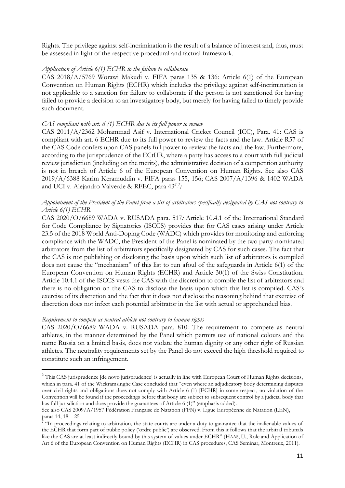Rights. The privilege against self-incrimination is the result of a balance of interest and, thus, must be assessed in light of the respective procedural and factual framework.

#### *Application of Article 6(1) ECHR to the failure to collaborate*

CAS 2018/A/5769 Worawi Makudi v. FIFA paras 135 & 136: Article 6(1) of the European Convention on Human Rights (ECHR) which includes the privilege against self-incrimination is not applicable to a sanction for failure to collaborate if the person is not sanctioned for having failed to provide a decision to an investigatory body, but merely for having failed to timely provide such document.

#### *CAS compliant with art. 6 (1) ECHR due to its full power to review*

CAS 2011/A/2362 Mohammad Asif v. International Cricket Council (ICC), Para. 41: CAS is compliant with art. 6 ECHR due to its full power to review the facts and the law. Article R57 of the CAS Code confers upon CAS panels full power to review the facts and the law. Furthermore, according to the jurisprudence of the ECtHR, where a party has access to a court with full judicial review jurisdiction (including on the merits), the administrative decision of a competition authority is not in breach of Article 6 of the European Convention on Human Rights. See also CAS 2019/A/6388 Karim Keramuddin v. FIFA paras 155, 156; CAS 2007/A/1396 & 1402 WADA and UCI v. Alejandro Valverde & RFEC, para 43*<sup>6</sup> - 7 ;*

### *Appointment of the President of the Panel from a list of arbitrators specifically designated by CAS not contrary to Article 6(1) ECHR*

CAS 2020/O/6689 WADA v. RUSADA para. 517*:* Article 10.4.1 of the International Standard for Code Compliance by Signatories (ISCCS) provides that for CAS cases arising under Article 23.5 of the 2018 World Anti-Doping Code (WADC) which provides for monitoring and enforcing compliance with the WADC, the President of the Panel is nominated by the two party-nominated arbitrators from the list of arbitrators specifically designated by CAS for such cases. The fact that the CAS is not publishing or disclosing the basis upon which such list of arbitrators is compiled does not cause the "mechanism" of this list to run afoul of the safeguards in Article 6(1) of the European Convention on Human Rights (ECHR) and Article 30(1) of the Swiss Constitution. Article 10.4.1 of the ISCCS vests the CAS with the discretion to compile the list of arbitrators and there is no obligation on the CAS to disclose the basis upon which this list is compiled. CAS's exercise of its discretion and the fact that it does not disclose the reasoning behind that exercise of discretion does not infect each potential arbitrator in the list with actual or apprehended bias.

#### *Requirement to compete as neutral athlete not contrary to human rights*

**.** 

CAS 2020/O/6689 WADA v. RUSADA para. 810: The requirement to compete as neutral athletes, in the manner determined by the Panel which permits use of national colours and the name Russia on a limited basis, does not violate the human dignity or any other right of Russian athletes. The neutrality requirements set by the Panel do not exceed the high threshold required to constitute such an infringement.

<sup>&</sup>lt;sup>6</sup> This CAS jurisprudence [de novo jurisprudence] is actually in line with European Court of Human Rights decisions, which in para. 41 of the Wickramsinghe Case concluded that "even where an adjudicatory body determining disputes over civil rights and obligations does not comply with Article 6 (1) [ECHR] in some respect, no violation of the Convention will be found if the proceedings before that body are subject to subsequent control by a judicial body that has full jurisdiction and does provide the guarantees of Article 6 (1)" (emphasis added).

See also CAS 2009/A/1957 Fédération Française de Natation (FFN) v. Ligue Européenne de Natation (LEN), paras 14, 18 – 25

<sup>&</sup>lt;sup>7</sup> "In proceedings relating to arbitration, the state courts are under a duty to guarantee that the inalienable values of the ECHR that form part of public policy ('ordre public') are observed. From this it follows that the arbitral tribunals like the CAS are at least indirectly bound by this system of values under ECHR" (HAAS, U., Role and Application of Art 6 of the European Convention on Human Rights (ECHR) in CAS procedures, CAS Seminar, Montreux, 2011).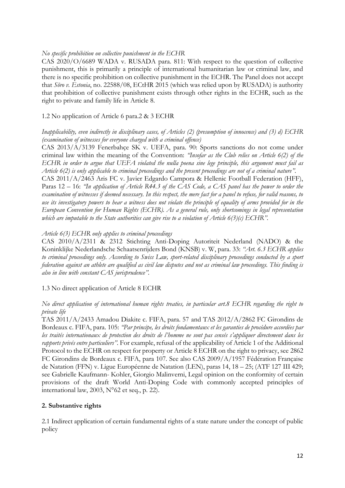## *No specific prohibition on collective punishment in the ECHR*

CAS 2020/O/6689 WADA v. RUSADA para. 811: With respect to the question of collective punishment, this is primarily a principle of international humanitarian law or criminal law, and there is no specific prohibition on collective punishment in the ECHR. The Panel does not accept that *Sõro v. Estonia*, no. 22588/08, ECtHR 2015 (which was relied upon by RUSADA) is authority that prohibition of collective punishment exists through other rights in the ECHR, such as the right to private and family life in Article 8.

## 1.2 No application of Article 6 para.2 & 3 ECHR

## *Inapplicability, even indirectly in disciplinary cases, of Articles (2) (presumption of innocence) and (3) d) ECHR (examination of witnesses for everyone charged with a criminal offence)*

CAS 2013/A/3139 Fenerbahçe SK v. UEFA, para. 90: Sports sanctions do not come under criminal law within the meaning of the Convention: *"Insofar as the Club relies on Article 6(2) of the ECHR in order to argue that UEFA violated the nulla poena sine lege principle, this argument must fail as Article 6(2) is only applicable to criminal proceedings and the present proceedings are not of a criminal nature"*. CAS 2011/A/2463 Aris FC v. Javier Edgardo Campora & Hellenic Football Federation (HFF), Paras 12 – 16: *"In application of Article R44.3 of the CAS Code, a CAS panel has the power to order the* 

*examination of witnesses if deemed necessary. In this respect, the mere fact for a panel to refuse, for valid reasons, to use its investigatory powers to hear a witness does not violate the principle of equality of arms provided for in the European Convention for Human Rights (ECHR). As a general rule, only shortcomings in legal representation which are imputable to the State authorities can give rise to a violation of Article 6(3)(c) ECHR"*.

## *Article 6(3) ECHR only applies to criminal proceedings*

CAS 2010/A/2311 & 2312 Stichting Anti-Doping Autoriteit Nederland (NADO) & the Koninklijke Nederlandsche Schaatsenrijders Bond (KNSB) v. W, para. 33: *"Art. 6.3 ECHR applies to criminal proceedings only. According to Swiss Law, sport-related disciplinary proceedings conducted by a sport federation against an athlete are qualified as civil law disputes and not as criminal law proceedings. This finding is also in line with constant CAS jurisprudence".* 

### 1.3 No direct application of Article 8 ECHR

### *No direct application of international human rights treaties, in particular art.8 ECHR regarding the right to private life*

TAS 2011/A/2433 Amadou Diakite c. FIFA, para. 57 and TAS 2012/A/2862 FC Girondins de Bordeaux c. FIFA, para. 105: *"Par principe, les droits fondamentaux et les garanties de procédure accordées par les traités internationaux de protection des droits de l'homme ne sont pas censés s'appliquer directement dans les rapports privés entre particuliers"*. For example, refusal of the applicability of Article 1 of the Additional Protocol to the ECHR on respect for property or Article 8 ECHR on the right to privacy, see 2862 FC Girondins de Bordeaux c. FIFA, para 107*.* See also CAS 2009/A/1957 Fédération Française de Natation (FFN) v. Ligue Européenne de Natation (LEN), paras 14, 18 – 25; (ATF 127 III 429; see Gabrielle Kaufmann- Kohler, Giorgio Malinverni, Legal opinion on the conformity of certain provisions of the draft World Anti-Doping Code with commonly accepted principles of international law,  $2003$ ,  $N^{\circ}62$  et seq., p. 22).

# **2. Substantive rights**

2.1 Indirect application of certain fundamental rights of a state nature under the concept of public policy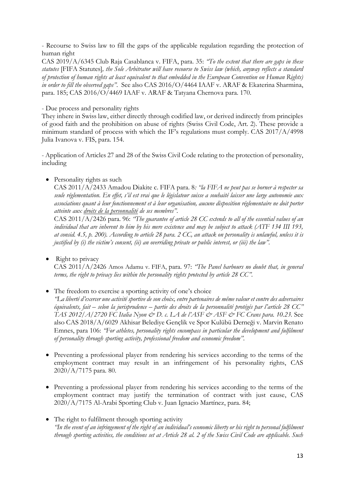- Recourse to Swiss law to fill the gaps of the applicable regulation regarding the protection of human right

CAS 2019/A/6345 Club Raja Casablanca v. FIFA, para. 35: *"To the extent that there are gaps in these statutes* [FIFA Statutes]*, the Sole Arbitrator will have recourse to Swiss law (which, anyway reflects a standard of protection of human rights at least equivalent to that embedded in the European Convention on Human Rights) in order to fill the observed gaps"*. See also CAS 2016/O/4464 IAAF v. ARAF & Ekaterina Sharmina, para. 185; CAS 2016/O/4469 IAAF v. ARAF & Tatyana Chernova para. 170.

### - Due process and personality rights

They inhere in Swiss law, either directly through codified law, or derived indirectly from principles of good faith and the prohibition on abuse of rights (Swiss Civil Code, Art. 2). These provide a minimum standard of process with which the IF's regulations must comply. CAS 2017/A/4998 Julia Ivanova v. FIS, para. 154.

- Application of Articles 27 and 28 of the Swiss Civil Code relating to the protection of personality, including

• Personality rights as such

CAS 2011/A/2433 Amadou Diakite c. FIFA para. 8*: "la FIFA ne peut pas se borner à respecter sa seule réglementation. En effet, s'il est vrai que le législateur suisse a souhaité laisser une large autonomie aux associations quant à leur fonctionnement et à leur organisation, aucune disposition réglementaire ne doit porter atteinte aux droits de la personnalité de ses membres"*.

CAS 2011/A/2426 para. 96: *"The guarantee of article 28 CC extends to all of the essential values of an individual that are inherent to him by his mere existence and may be subject to attack (ATF 134 III 193, at consid. 4.5, p. 200). According to article 28 para. 2 CC, an attack on personality is unlawful, unless it is justified by (i) the victim's consent, (ii) an overriding private or public interest, or (iii) the law".*

Right to privacy

CAS 2011/A/2426 Amos Adamu v. FIFA, para. 97: *"The Panel harbours no doubt that, in general terms, the right to privacy lies within the personality rights protected by article 28 CC".*

# • The freedom to exercise a sporting activity of one's choice

*"La liberté d'exercer une activité sportive de son choix, entre partenaires de même valeur et contre des adversaires équivalents, fait – selon la jurisprudence – partie des droits de la personnalité protégés par l'article 28 CC" TAS 2012/A/2720 FC Italia Nyon & D. c. LA de l'ASF & ASF & FC Crans para. 10.23.* See also CAS 2018/A/6029 Akhisar Belediye Gençlik ve Spor Kulübü Derneği v. Marvin Renato Emnes, para 106: *"For athletes, personality rights encompass in particular the development and fulfilment of personality through sporting activity, professional freedom and economic freedom"*.

- Preventing a professional player from rendering his services according to the terms of the employment contract may result in an infringement of his personality rights, CAS 2020/A/7175 para. 80.
- Preventing a professional player from rendering his services according to the terms of the employment contract may justify the termination of contract with just cause, CAS 2020/A/7175 Al-Arabi Sporting Club v. Juan Ignacio Martínez, para. 84;
- The right to fulfilment through sporting activity *"In the event of an infringement of the right of an individual's economic liberty or his right to personal fulfilment through sporting activities, the conditions set at Article 28 al. 2 of the Swiss Civil Code are applicable. Such*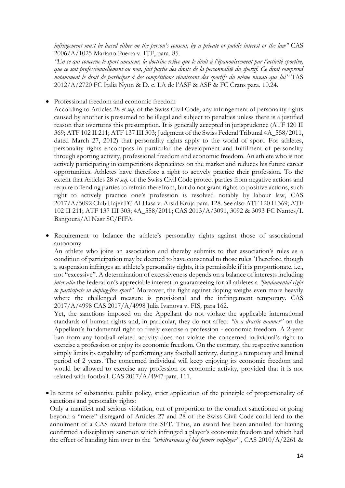*infringement must be based either on the person's consent, by a private or public interest or the law"* CAS 2006/A/1025 Mariano Puerta v. ITF, para. 85*.*

*"En ce qui concerne le sport amateur, la doctrine relève que le droit à l'épanouissement par l'activité sportive, que ce soit professionnellement ou non, fait partie des droits de la personnalité du sportif. Ce droit comprend notamment le droit de participer à des compétitions réunissant des sportifs du même niveau que lui"* TAS 2012/A/2720 FC Italia Nyon & D. c. LA de l'ASF & ASF & FC Crans para. 10.24.

• Professional freedom and economic freedom

According to Articles 28 *et seq.* of the Swiss Civil Code, any infringement of personality rights caused by another is presumed to be illegal and subject to penalties unless there is a justified reason that overturns this presumption. It is generally accepted in jurisprudence (ATF 120 II 369; ATF 102 II 211; ATF 137 III 303; Judgment of the Swiss Federal Tribunal 4A\_558/2011, dated March 27, 2012) that personality rights apply to the world of sport. For athletes, personality rights encompass in particular the development and fulfilment of personality through sporting activity, professional freedom and economic freedom. An athlete who is not actively participating in competitions depreciates on the market and reduces his future career opportunities. Athletes have therefore a right to actively practice their profession. To the extent that Articles 28 *et seq.* of the Swiss Civil Code protect parties from negative actions and require offending parties to refrain therefrom, but do not grant rights to positive actions, such right to actively practice one's profession is resolved notably by labour law, CAS 2017/A/5092 Club Hajer FC Al-Hasa v. Arsid Kruja para. 128. See also ATF 120 II 369; ATF 102 II 211; ATF 137 III 303; 4A\_558/2011; CAS 2013/A/3091, 3092 & 3093 FC Nantes/I. Bangoura/Al Nasr SC/FIFA.

Requirement to balance the athlete's personality rights against those of associational autonomy

An athlete who joins an association and thereby submits to that association's rules as a condition of participation may be deemed to have consented to those rules. Therefore, though a suspension infringes an athlete's personality rights, it is permissible if it is proportionate, i.e., not "excessive". A determination of excessiveness depends on a balance of interests including *inter alia* the federation's appreciable interest in guaranteeing for all athletes a *"fundamental right to participate in doping-free sport".* Moreover, the fight against doping weighs even more heavily where the challenged measure is provisional and the infringement temporary. CAS 2017/A/4998 CAS 2017/A/4998 Julia Ivanova v. FIS*,* para 162.

Yet, the sanctions imposed on the Appellant do not violate the applicable international standards of human rights and, in particular, they do not affect *"in a drastic manner"* on the Appellant's fundamental right to freely exercise a profession - economic freedom. A 2-year ban from any football-related activity does not violate the concerned individual's right to exercise a profession or enjoy its economic freedom. On the contrary, the respective sanction simply limits its capability of performing any football activity, during a temporary and limited period of 2 years. The concerned individual will keep enjoying its economic freedom and would be allowed to exercise any profession or economic activity, provided that it is not related with football. CAS 2017/A/4947 para. 111.

• In terms of substantive public policy, strict application of the principle of proportionality of sanctions and personality rights:

Only a manifest and serious violation, out of proportion to the conduct sanctioned or going beyond a "mere" disregard of Articles 27 and 28 of the Swiss Civil Code could lead to the annulment of a CAS award before the SFT. Thus, an award has been annulled for having confirmed a disciplinary sanction which infringed a player's economic freedom and which had the effect of handing him over to the *"arbitrariness of his former employer"* , CAS 2010/A/2261 &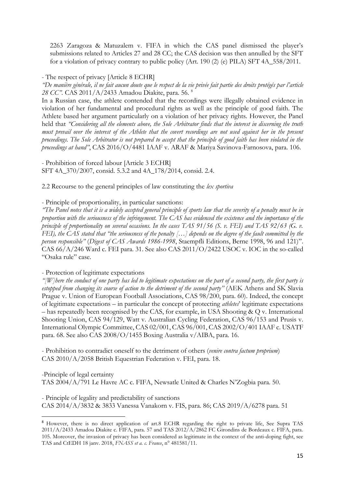2263 Zaragoza & Matuzalem v. FIFA in which the CAS panel dismissed the player's submissions related to Articles 27 and 28 CC; the CAS decision was then annulled by the SFT for a violation of privacy contrary to public policy (Art. 190 (2) (e) PILA) SFT 4A\_558/2011.

- The respect of privacy [Article 8 ECHR]

*"De manière générale, il ne fait aucun doute que le respect de la vie privée fait partie des droits protégés par l'article 28 CC".* CAS 2011/A/2433 Amadou Diakite, para. 56. <sup>8</sup>

In a Russian case, the athlete contended that the recordings were illegally obtained evidence in violation of her fundamental and procedural rights as well as the principle of good faith. The Athlete based her argument particularly on a violation of her privacy rights. However, the Panel held that *"Considering all the elements above, the Sole Arbitrator finds that the interest in discerning the truth must prevail over the interest of the Athlete that the covert recordings are not used against her in the present proceedings. The Sole Arbitrator is not prepared to accept that the principle of good faith has been violated in the proceedings at hand"*, CAS 2016/O/4481 IAAF v. ARAF & Mariya Savinova-Farnosova, para. 106.

- Prohibition of forced labour [Article 3 ECHR] SFT 4A\_370/2007, consid. 5.3.2 and 4A\_178/2014, consid. 2.4.

2.2 Recourse to the general principles of law constituting the *lex sportiva*

- Principle of proportionality, in particular sanctions:

*"The Panel notes that it is a widely accepted general principle of sports law that the severity of a penalty must be in proportion with the seriousness of the infringement. The CAS has evidenced the existence and the importance of the principle of proportionality on several occasions. In the cases TAS 91/56 (S. v. FEI) and TAS 92/63 (G. v. FEI), the CAS stated that "the seriousness of the penalty […] depends on the degree of the fault committed by the person responsible"* (*Digest of CAS Awards 1986-1998*, Staempfli Editions, Berne 1998, 96 and 121)". CAS 66/A/246 Ward c. FEI para. 31. See also CAS 2011/O/2422 USOC v. IOC in the so-called "Osaka rule" case.

- Protection of legitimate expectations

**.** 

*"[W]here the conduct of one party has led to legitimate expectations on the part of a second party, the first party is estopped from changing its course of action to the detriment of the second party"* (AEK Athens and SK Slavia Prague v. Union of European Football Associations, CAS 98/200, para. 60). Indeed, the concept of legitimate expectations – in particular the concept of protecting *athletes*' legitimate expectations – has repeatedly been recognised by the CAS, for example, in USA Shooting & Q v. International Shooting Union, CAS 94/129, Watt v. Australian Cycling Federation, CAS 96/153 and Prusis v. International Olympic Committee, CAS 02/001, CAS 96/001, CAS 2002/O/401 IAAF c. USATF para. 68. See also CAS 2008/O/1455 Boxing Australia v/AIBA, para. 16.

- Prohibition to contradict oneself to the detriment of others (*venire contra factum proprium*) CAS 2010/A/2058 British Equestrian Federation v. FEI, para. 18.

-Principle of legal certainty TAS 2004/A/791 Le Havre AC c. FIFA, Newsatle United & Charles N'Zogbia para. 50.

- Principle of legality and predictability of sanctions CAS 2014/A/3832 & 3833 Vanessa Vanakorn v. FIS, para. 86; CAS 2019/A/6278 para. 51

<sup>8</sup> However, there is no direct application of art.8 ECHR regarding the right to private life, See Supra TAS 2011/A/2433 Amadou Diakite c. FIFA, para. 57 and TAS 2012/A/2862 FC Girondins de Bordeaux c. FIFA, para. 105. Moreover, the invasion of privacy has been considered as legitimate in the context of the anti-doping fight, see TAS and CtEDH 18 janv. 2018, *FNASS et a. c. France*, n° 481581/11.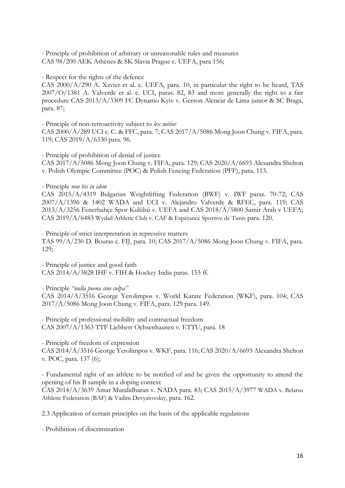- Principle of prohibition of arbitrary or unreasonable rules and measures CAS 98/200 AEK Athènes & SK Slavia Prague c. UEFA, para 156;

- Respect for the rights of the defence

CAS 2000/A/290 A. Xavier et al. c. UEFA, para. 10, in particular the right to be heard, TAS 2007/O/1381 A. Valverde et al. c. UCI, paras. 82, 83 and more generally the right to a fair procedure CAS 2013/A/3309 FC Dynamo Kyiv v. Gerson Alencar de Lima junior & SC Braga, para. 87;

- Principle of non-retroactivity subject to *lex mitior*

CAS 2000/A/289 UCI c. C. & FFC, para. 7; CAS 2017/A/5086 Mong Joon Chung v. FIFA, para. 119; CAS 2019/A/6330 para. 96.

- Principle of prohibition of denial of justice CAS 2017/A/5086 Mong Joon Chung v. FIFA, para. 129; CAS 2020/A/6693 Alexandra Shelton v. Polish Olympic Committee (POC) & Polish Fencing Federation (PFF), para. 113.

- Principle *non bis in idem*

CAS 2015/A/4319 Bulgarian Weightlifting Federation (BWF) v. IWF paras. 70-72; CAS 2007/A/1396 & 1402 WADA and UCI v. Alejandro Valverde & RFEC, para. 119; CAS 2013/A/3256 Fenerbahçe Spor Kulübü v. UEFA and CAS 2018/A/5800 Samir Arab v UEFA; CAS 2019/A/6483 Wydad Athletic Club v. CAF & Espérance Sportive de Tunis para. 120.

- Principle of strict interpretation in repressive matters TAS 99/A/230 D. Bouras c. FIJ, para. 10; CAS 2017/A/5086 Mong Joon Chung v. FIFA, para. 129;

- Principle of justice and good faith CAS 2014/A/3828 IHF v. FIH & Hockey India paras. 153 ff.

- Principle *"nulla poena sine culpa"* CAS 2014/A/3516 George Yerolimpos v. World Karate Federation (WKF), para. 104; CAS 2017/A/5086 Mong Joon Chung v. FIFA, para. 129 para. 149.

- Principle of professional mobility and contractual freedom CAS 2007/A/1363 TTF Liebherr Ochsenhausen v. ETTU, para. 18

- Principle of freedom of expression

CAS 2014/A/3516 George Yerolimpos v. WKF, para. 116; CAS 2020/A/6693 Alexandra Shelton v. POC, para. 137 (6);

- Fundamental right of an athlete to be notified of and be given the opportunity to attend the opening of his B sample in a doping context CAS 2014/A/3639 Amar Muralidharan v. NADA para. 83; CAS 2015/A/3977 WADA v. Belarus Athletic Federation (BAF) & Vadim Devyatovskiy, para. 162.

2.3 Application of certain principles on the basis of the applicable regulations

- Prohibition of discrimination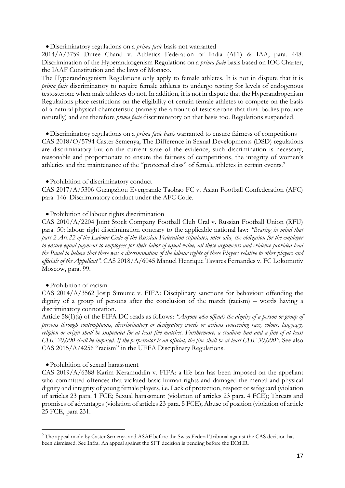•Discriminatory regulations on a *prima facie* basis not warranted

2014/A/3759 Dutee Chand v. Athletics Federation of India (AFI) & IAA, para. 448: Discrimination of the Hyperandrogenism Regulations on a *prima facie* basis based on IOC Charter, the IAAF Constitution and the laws of Monaco.

The Hyperandrogenism Regulations only apply to female athletes. It is not in dispute that it is *prima facie* discriminatory to require female athletes to undergo testing for levels of endogenous testosterone when male athletes do not. In addition, it is not in dispute that the Hyperandrogenism Regulations place restrictions on the eligibility of certain female athletes to compete on the basis of a natural physical characteristic (namely the amount of testosterone that their bodies produce naturally) and are therefore *prima facie* discriminatory on that basis too. Regulations suspended.

•Discriminatory regulations on a *prima facie basis* warranted to ensure fairness of competitions CAS 2018/O/5794 Caster Semenya, The Difference in Sexual Developments (DSD) regulations are discriminatory but on the current state of the evidence, such discrimination is necessary, reasonable and proportionate to ensure the fairness of competitions, the integrity of women's athletics and the maintenance of the "protected class" of female athletes in certain events.<sup>9</sup>

•Prohibition of discriminatory conduct

CAS 2017/A/5306 Guangzhou Evergrande Taobao FC v. Asian Football Confederation (AFC) para. 146: Discriminatory conduct under the AFC Code.

#### •Prohibition of labour rights discrimination

CAS 2010/A/2204 Joint Stock Company Football Club Ural v. Russian Football Union (RFU) para. 50: labour right discrimination contrary to the applicable national law: *"Bearing in mind that part 2 Art.22 of the Labour Code of the Russian Federation stipulates, inter alia, the obligation for the employer to ensure equal payment to employees for their labor of equal value, all these arguments and evidence provided lead the Panel to believe that there was a discrimination of the labour rights of these Players relative to other players and officials of the Appellant".* CAS 2018/A/6045 Manuel Henrique Tavares Fernandes v. FC Lokomotiv Moscow, para. 99.

#### •Prohibition of racism

**.** 

CAS 2014/A/3562 Josip Simunic v. FIFA: Disciplinary sanctions for behaviour offending the dignity of a group of persons after the conclusion of the match (racism) – words having a discriminatory connotation.

Article 58(1)(a) of the FIFA DC reads as follows: *"Anyone who offends the dignity of a person or group of persons through contemptuous, discriminatory or denigratory words or actions concerning race, colour, language, religion or origin shall be suspended for at least five matches. Furthermore, a stadium ban and a fine of at least CHF 20,000 shall be imposed. If the perpetrator is an official, the fine shall be at least CHF 30,000".* See also CAS 2015/A/4256 "racism" in the UEFA Disciplinary Regulations.

#### •Prohibition of sexual harassment

CAS 2019/A/6388 Karim Keramuddin v. FIFA: a life ban has been imposed on the appellant who committed offences that violated basic human rights and damaged the mental and physical dignity and integrity of young female players, i.e. Lack of protection, respect or safeguard (violation of articles 23 para. 1 FCE; Sexual harassment (violation of articles 23 para. 4 FCE); Threats and promises of advantages (violation of articles 23 para. 5 FCE); Abuse of position (violation of article 25 FCE, para 231.

<sup>9</sup> The appeal made by Caster Semenya and ASAF before the Swiss Federal Tribunal against the CAS decision has been dismissed. See Infra. An appeal against the SFT decision is pending before the ECtHR.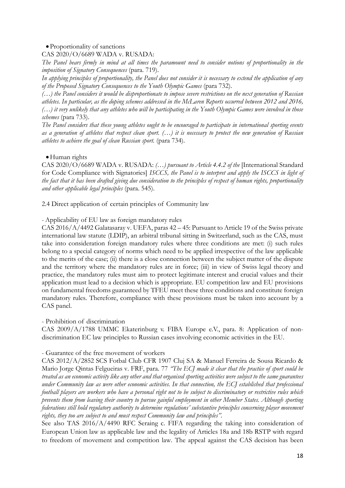## •Proportionality of sanctions

## CAS 2020/O/6689 WADA v. RUSADA:

*The Panel bears firmly in mind at all times the paramount need to consider notions of proportionality in the imposition of Signatory Consequences* (para. 719).

*In applying principles of proportionality, the Panel does not consider it is necessary to extend the application of any of the Proposed Signatory Consequences to the Youth Olympic Games* (para 732).

*(…) the Panel considers it would be disproportionate to impose severe restrictions on the next generation of Russian athletes. In particular, as the doping schemes addressed in the McLaren Reports occurred between 2012 and 2016, (…) it very unlikely that any athletes who will be participating in the Youth Olympic Games were involved in those schemes* (para 733).

*The Panel considers that these young athletes ought to be encouraged to participate in international sporting events as a generation of athletes that respect clean sport. (…) it is necessary to protect the new generation of Russian athletes to achieve the goal of clean Russian sport.* (para 734).

### • Human rights

CAS 2020/O/6689 WADA v. RUSADA: *(…) pursuant to Article 4.4.2 of the* [International Standard for Code Compliance with Signatories] *ISCCS, the Panel is to interpret and apply the ISCCS in light of the fact that it has been drafted giving due consideration to the principles of respect of human rights, proportionality and other applicable legal principles* (para. 545).

2.4 Direct application of certain principles of Community law

*-* Applicability of EU law as foreign mandatory rules

CAS 2016/A/4492 Galatasaray v. UEFA, paras 42 – 45: Pursuant to Article 19 of the Swiss private international law statute (LDIP), an arbitral tribunal sitting in Switzerland, such as the CAS, must take into consideration foreign mandatory rules where three conditions are met: (i) such rules belong to a special category of norms which need to be applied irrespective of the law applicable to the merits of the case; (ii) there is a close connection between the subject matter of the dispute and the territory where the mandatory rules are in force; (iii) in view of Swiss legal theory and practice, the mandatory rules must aim to protect legitimate interest and crucial values and their application must lead to a decision which is appropriate. EU competition law and EU provisions on fundamental freedoms guaranteed by TFEU meet these three conditions and constitute foreign mandatory rules. Therefore, compliance with these provisions must be taken into account by a CAS panel.

- Prohibition of discrimination

CAS 2009/A/1788 UMMC Ekaterinburg v. FIBA Europe e.V., para. 8: Application of nondiscrimination EC law principles to Russian cases involving economic activities in the EU.

### - Guarantee of the free movement of workers

CAS 2012/A/2852 SCS Fotbal Club CFR 1907 Cluj SA & Manuel Ferreira de Sousa Ricardo & Mario Jorge Qintas Felgueiras v. FRF, para. 77 *"The ECJ made it clear that the practice of sport could be treated as an economic activity like any other and that organised sporting activities were subject to the same guarantees under Community law as were other economic activities. In that connection, the ECJ established that professional football players are workers who have a personal right not to be subject to discriminatory or restrictive rules which prevents them from leaving their country to pursue gainful employment in other Member States. Although sporting federations still hold regulatory authority to determine regulations' substantive principles concerning player movement rights, they too are subject to and must respect Community law and principles".*

See also TAS 2016/A/4490 RFC Seraing c. FIFA regarding the taking into consideration of European Union law as applicable law and the legality of Articles 18a and 18b RSTP with regard to freedom of movement and competition law. The appeal against the CAS decision has been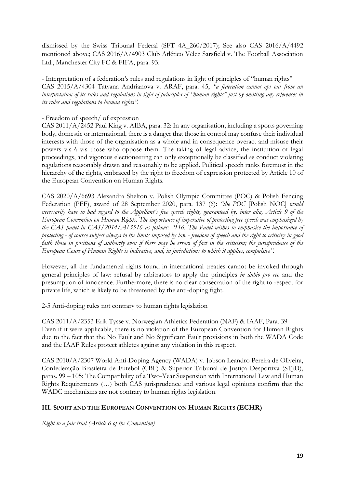dismissed by the Swiss Tribunal Federal (SFT 4A\_260/2017); See also CAS 2016/A/4492 mentioned above; CAS 2016/A/4903 Club Atlético Vélez Sarsfield v. The Football Association Ltd., Manchester City FC & FIFA, para. 93.

- Interpretation of a federation's rules and regulations in light of principles of "human rights" CAS 2015/A/4304 Tatyana Andrianova v. ARAF, para. 45, *"a federation cannot opt out from an interpretation of its rules and regulations in light of principles of "human rights" just by omitting any references in its rules and regulations to human rights".* 

## - Freedom of speech/ of expression

CAS 2011/A/2452 Paul King v. AIBA, para. 32: In any organisation, including a sports governing body, domestic or international, there is a danger that those in control may confuse their individual interests with those of the organisation as a whole and in consequence overact and misuse their powers vis à vis those who oppose them. The taking of legal advice, the institution of legal proceedings, and vigorous electioneering can only exceptionally be classified as conduct violating regulations reasonably drawn and reasonably to be applied. Political speech ranks foremost in the hierarchy of the rights, embraced by the right to freedom of expression protected by Article 10 of the European Convention on Human Rights.

CAS 2020/A/6693 Alexandra Shelton v. Polish Olympic Committee (POC) & Polish Fencing Federation (PFF), award of 28 September 2020, para. 137 (6): *"the POC* [Polish NOC] *would necessarily have to had regard to the Appellant's free speech rights, guaranteed by, inter alia, Article 9 of the European Convention on Human Rights. The importance of imperative of protecting free speech was emphasized by the CAS panel in CAS/2014/A/3516 as follows: "116. The Panel wishes to emphasise the importance of protecting - of course subject always to the limits imposed by law - freedom of speech and the right to criticize in good faith those in positions of authority even if there may be errors of fact in the criticism; the jurisprudence of the European Court of Human Rights is indicative, and, in jurisdictions to which it applies, compulsive".*

However, all the fundamental rights found in international treaties cannot be invoked through general principles of law: refusal by arbitrators to apply the principles *in dubio pro reo* and the presumption of innocence. Furthermore, there is no clear consecration of the right to respect for private life, which is likely to be threatened by the anti-doping fight.

2-5 Anti-doping rules not contrary to human rights legislation

CAS 2011/A/2353 Erik Tysse v. Norwegian Athletics Federation (NAF) & IAAF, Para. 39 Even if it were applicable, there is no violation of the European Convention for Human Rights due to the fact that the No Fault and No Significant Fault provisions in both the WADA Code and the IAAF Rules protect athletes against any violation in this respect.

CAS 2010/A/2307 World Anti-Doping Agency (WADA) v. Jobson Leandro Pereira de Oliveira, Confederação Brasileira de Futebol (CBF) & Superior Tribunal de Justiça Desportiva (STJD), paras. 99 – 105: The Compatibility of a Two-Year Suspension with International Law and Human Rights Requirements (…) both CAS jurisprudence and various legal opinions confirm that the WADC mechanisms are not contrary to human rights legislation.

# **III. SPORT AND THE EUROPEAN CONVENTION ON HUMAN RIGHTS (ECHR)**

*Right to a fair trial (Article 6 of the Convention)*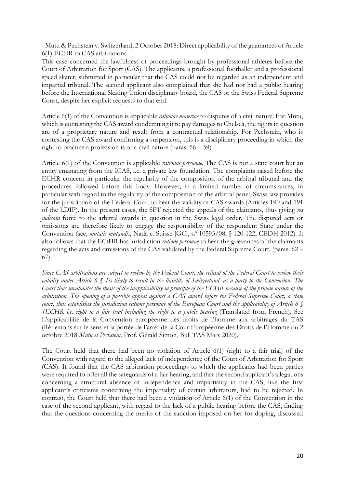- Mutu & Pechstein v. Switzerland, 2 October 2018: Direct applicability of the guarantees of Article 6(1) ECHR to CAS arbitrations

This case concerned the lawfulness of proceedings brought by professional athletes before the Court of Arbitration for Sport (CAS). The applicants, a professional footballer and a professional speed skater, submitted in particular that the CAS could not be regarded as an independent and impartial tribunal. The second applicant also complained that she had not had a public hearing before the International Skating Union disciplinary board, the CAS or the Swiss Federal Supreme Court, despite her explicit requests to that end.

Article 6(1) of the Convention is applicable *rationae materiae* to disputes of a civil nature. For Mutu, which is contesting the CAS award condemning it to pay damages to Chelsea, the rights in question are of a proprietary nature and result from a contractual relationship. For Pechstein, who is contesting the CAS award confirming a suspension, this is a disciplinary proceeding in which the right to practice a profession is of a civil nature (paras. 56 – 59).

Article 6(1) of the Convention is applicable *rationae personae*. The CAS is not a state court but an entity emanating from the ICAS, i.e. a private law foundation. The complaints raised before the ECHR concern in particular the regularity of the composition of the arbitral tribunal and the procedures followed before this body. However, in a limited number of circumstances, in particular with regard to the regularity of the composition of the arbitral panel, Swiss law provides for the jurisdiction of the Federal Court to hear the validity of CAS awards (Articles 190 and 191 of the LDIP). In the present cases, the SFT rejected the appeals of the claimants, thus giving *res judicata* force to the arbitral awards in question in the Swiss legal order. The disputed acts or omissions are therefore likely to engage the responsibility of the respondent State under the Convention (see, *mutatis mutandis*, Nada c. Suisse [GC], nº 10593/08, § 120-122, CEDH 2012). It also follows that the ECtHR has jurisdiction *ratione personae* to hear the grievances of the claimants regarding the acts and omissions of the CAS validated by the Federal Supreme Court. (paras. 62 – 67)

*Since CAS arbitrations are subject to review by the Federal Court, the refusal of the Federal Court to review their validity under Article 6 § 1is likely to result in the liability of Switzerland, as a party to the Convention. The Court thus invalidates the thesis of the inapplicability in principle of the ECHR because of the private nature of the arbitration. The opening of a possible appeal against a CAS award before the Federal Supreme Court, a state court, thus establishes the jurisdiction ratione personae of the European Court and the applicability of Article 6 § 1ECHR i.e. right to a fair trial including the right to a public hearing* (Translated from French)*,* See L'applicabilité de la Convention européenne des droits de l'homme aux arbitrages du TAS (Réflexions sur le sens et la portée de l'arrêt de la Cour Européenne des Droits de l'Homme du 2 octobre 2018 *Mutu et Pechstein,* Prof. Gérald Simon, Bull TAS Mars 2020).

The Court held that there had been no violation of Article 6(1) (right to a fair trial) of the Convention with regard to the alleged lack of independence of the Court of Arbitration for Sport (CAS). It found that the CAS arbitration proceedings to which the applicants had been parties were required to offer all the safeguards of a fair hearing, and that the second applicant's allegations concerning a structural absence of independence and impartiality in the CAS, like the first applicant's criticisms concerning the impartiality of certain arbitrators, had to be rejected. In contrast, the Court held that there had been a violation of Article 6(1) of the Convention in the case of the second applicant, with regard to the lack of a public hearing before the CAS, finding that the questions concerning the merits of the sanction imposed on her for doping, discussed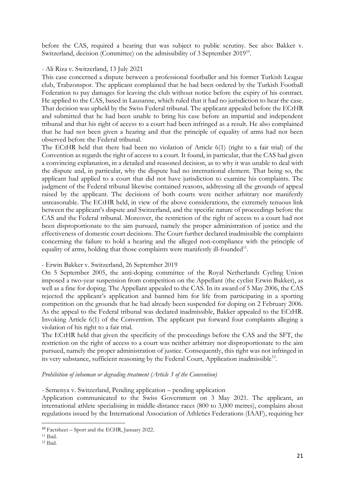before the CAS, required a hearing that was subject to public scrutiny. See also: Bakker v. Switzerland, decision (Committee) on the admissibility of 3 September 2019<sup>10</sup>.

#### - Ali Riza v. Switzerland, 13 July 2021

This case concerned a dispute between a professional footballer and his former Turkish League club, Trabzonspor. The applicant complained that he had been ordered by the Turkish Football Federation to pay damages for leaving the club without notice before the expiry of his contract. He applied to the CAS, based in Lausanne, which ruled that it had no jurisdiction to hear the case. That decision was upheld by the Swiss Federal tribunal. The applicant appealed before the ECtHR and submitted that he had been unable to bring his case before an impartial and independent tribunal and that his right of access to a court had been infringed as a result. He also complained that he had not been given a hearing and that the principle of equality of arms had not been observed before the Federal tribunal.

The ECtHR held that there had been no violation of Article 6(1) (right to a fair trial) of the Convention as regards the right of access to a court. It found, in particular, that the CAS had given a convincing explanation, in a detailed and reasoned decision, as to why it was unable to deal with the dispute and, in particular, why the dispute had no international element. That being so, the applicant had applied to a court that did not have jurisdiction to examine his complaints. The judgment of the Federal tribunal likewise contained reasons, addressing all the grounds of appeal raised by the applicant. The decisions of both courts were neither arbitrary nor manifestly unreasonable. The ECtHR held, in view of the above considerations, the extremely tenuous link between the applicant's dispute and Switzerland, and the specific nature of proceedings before the CAS and the Federal tribunal. Moreover, the restriction of the right of access to a court had not been disproportionate to the aim pursued, namely the proper administration of justice and the effectiveness of domestic court decisions. The Court further declared inadmissible the complaints concerning the failure to hold a hearing and the alleged non-compliance with the principle of equality of arms, holding that those complaints were manifestly ill-founded<sup>11</sup>.

### - Erwin [Bakker v. Switzerland,](https://hudoc.echr.coe.int/eng#{%22itemid%22:[%22001-196440%22]}) 26 September 2019

On 5 September 2005, the anti-doping committee of the Royal Netherlands Cycling Union imposed a two-year suspension from competition on the Appellant (the cyclist Erwin Bakker), as well as a fine for doping. The Appellant appealed to the CAS. In its award of 5 May 2006, the CAS rejected the applicant's application and banned him for life from participating in a sporting competition on the grounds that he had already been suspended for doping on 2 February 2006. As the appeal to the Federal tribunal was declared inadmissible, Bakker appealed to the ECtHR. Invoking Article 6(1) of the Convention. The applicant put forward four complaints alleging a violation of his right to a fair trial.

The ECtHR held that given the specificity of the proceedings before the CAS and the SFT, the restriction on the right of access to a court was neither arbitrary nor disproportionate to the aim pursued, namely the proper administration of justice. Consequently, this right was not infringed in its very substance, sufficient reasoning by the Federal Court, Application inadmissible<sup>12</sup>.

*Prohibition of inhuman or degrading treatment (Article 3 of the Convention)*

- Semenya v. Switzerland, Pending application – pending application

Application communicated to the Swiss Government on 3 May 2021. The applicant, an international athlete specialising in middle-distance races (800 to 3,000 metres), complains about regulations issued by the International Association of Athletics Federations (IAAF), requiring her

1

<sup>10</sup> Factsheet – Sport and the ECHR, January 2022.

<sup>11</sup> Ibid.

<sup>12</sup> Ibid.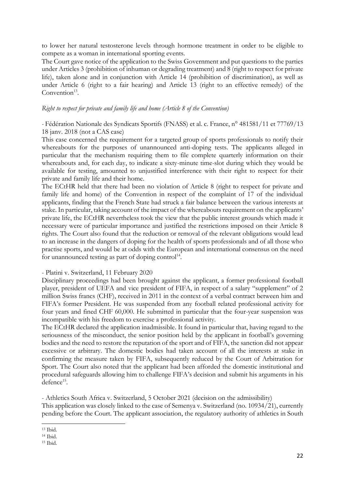to lower her natural testosterone levels through hormone treatment in order to be eligible to compete as a woman in international sporting events.

The Court gave notice of the application to the Swiss Government and put questions to the parties under Articles 3 (prohibition of inhuman or degrading treatment) and 8 (right to respect for private life), taken alone and in conjunction with Article 14 (prohibition of discrimination), as well as under Article 6 (right to a fair hearing) and Article 13 (right to an effective remedy) of the Convention<sup>13</sup>.

#### *Right to respect for private and family life and home (Article 8 of the Convention)*

*-* Fédération Nationale des Syndicats Sportifs (FNASS) et al. c. France, n° 481581/11 et 77769/13 18 janv. 2018 (not a CAS case)

This case concerned the requirement for a targeted group of sports professionals to notify their whereabouts for the purposes of unannounced anti-doping tests. The applicants alleged in particular that the mechanism requiring them to file complete quarterly information on their whereabouts and, for each day, to indicate a sixty-minute time-slot during which they would be available for testing, amounted to unjustified interference with their right to respect for their private and family life and their home.

The ECtHR held that there had been no violation of Article 8 (right to respect for private and family life and home) of the Convention in respect of the complaint of 17 of the individual applicants, finding that the French State had struck a fair balance between the various interests at stake. In particular, taking account of the impact of the whereabouts requirement on the applicants' private life, the ECtHR nevertheless took the view that the public interest grounds which made it necessary were of particular importance and justified the restrictions imposed on their Article 8 rights. The Court also found that the reduction or removal of the relevant obligations would lead to an increase in the dangers of doping for the health of sports professionals and of all those who practise sports, and would be at odds with the European and international consensus on the need for unannounced testing as part of doping control<sup>14</sup>.

#### - Platini v. Switzerland, 11 February 2020

Disciplinary proceedings had been brought against the applicant, a former professional football player, president of UEFA and vice president of FIFA, in respect of a salary "supplement" of 2 million Swiss francs (CHF), received in 2011 in the context of a verbal contract between him and FIFA's former President. He was suspended from any football related professional activity for four years and fined CHF 60,000. He submitted in particular that the four-year suspension was incompatible with his freedom to exercise a professional activity.

The ECtHR declared the application inadmissible. It found in particular that, having regard to the seriousness of the misconduct, the senior position held by the applicant in football's governing bodies and the need to restore the reputation of the sport and of FIFA, the sanction did not appear excessive or arbitrary. The domestic bodies had taken account of all the interests at stake in confirming the measure taken by FIFA, subsequently reduced by the Court of Arbitration for Sport. The Court also noted that the applicant had been afforded the domestic institutional and procedural safeguards allowing him to challenge FIFA's decision and submit his arguments in his defence<sup>15</sup>.

- Athletics South Africa v. Switzerland, 5 October 2021 (decision on the admissibility)

This application was closely linked to the case of Semenya v. Switzerland (no. 10934/21), currently pending before the Court. The applicant association, the regulatory authority of athletics in South

**<sup>.</sup>** <sup>13</sup> Ibid.

<sup>14</sup> Ibid.

<sup>15</sup> Ibid.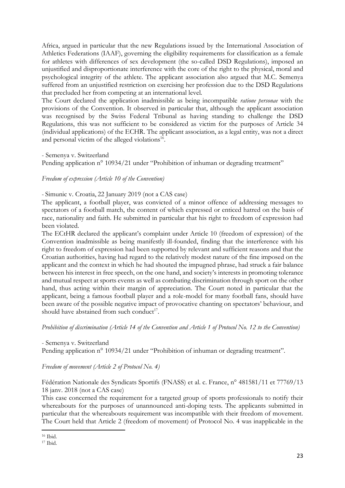Africa, argued in particular that the new Regulations issued by the International Association of Athletics Federations (IAAF), governing the eligibility requirements for classification as a female for athletes with differences of sex development (the so-called DSD Regulations), imposed an unjustified and disproportionate interference with the core of the right to the physical, moral and psychological integrity of the athlete. The applicant association also argued that M.C. Semenya suffered from an unjustified restriction on exercising her profession due to the DSD Regulations that precluded her from competing at an international level.

The Court declared the application inadmissible as being incompatible *ratione personae* with the provisions of the Convention. It observed in particular that, although the applicant association was recognised by the Swiss Federal Tribunal as having standing to challenge the DSD Regulations, this was not sufficient to be considered as victim for the purposes of Article 34 (individual applications) of the ECHR. The applicant association, as a legal entity, was not a direct and personal victim of the alleged violations<sup>16</sup>.

- Semenya v. Switzerland

Pending application n<sup>o</sup> 10934/21 under "Prohibition of inhuman or degrading treatment"

### *Freedom of expression (Article 10 of the Convention)*

- Simunic v. Croatia, 22 January 2019 (not a CAS case)

The applicant, a football player, was convicted of a minor offence of addressing messages to spectators of a football match, the content of which expressed or enticed hatred on the basis of race, nationality and faith. He submitted in particular that his right to freedom of expression had been violated.

The ECtHR declared the applicant's complaint under Article 10 (freedom of expression) of the Convention inadmissible as being manifestly ill-founded, finding that the interference with his right to freedom of expression had been supported by relevant and sufficient reasons and that the Croatian authorities, having had regard to the relatively modest nature of the fine imposed on the applicant and the context in which he had shouted the impugned phrase, had struck a fair balance between his interest in free speech, on the one hand, and society's interests in promoting tolerance and mutual respect at sports events as well as combating discrimination through sport on the other hand, thus acting within their margin of appreciation. The Court noted in particular that the applicant, being a famous football player and a role-model for many football fans, should have been aware of the possible negative impact of provocative chanting on spectators' behaviour, and should have abstained from such conduct<sup>17</sup>.

*Prohibition of discrimination (Article 14 of the Convention and Article 1 of Protocol No. 12 to the Convention)*

- Semenya v. Switzerland

Pending application n° 10934/21 under "Prohibition of inhuman or degrading treatment".

*Freedom of movement (Article 2 of Protocol No. 4)*

Fédération Nationale des Syndicats Sportifs (FNASS) et al. c. France, n° 481581/11 et 77769/13 18 janv. 2018 (not a CAS case)

This case concerned the requirement for a targeted group of sports professionals to notify their whereabouts for the purposes of unannounced anti-doping tests. The applicants submitted in particular that the whereabouts requirement was incompatible with their freedom of movement. The Court held that Article 2 (freedom of movement) of Protocol No. 4 was inapplicable in the

 $\overline{a}$ <sup>16</sup> Ibid.

<sup>17</sup> Ibid.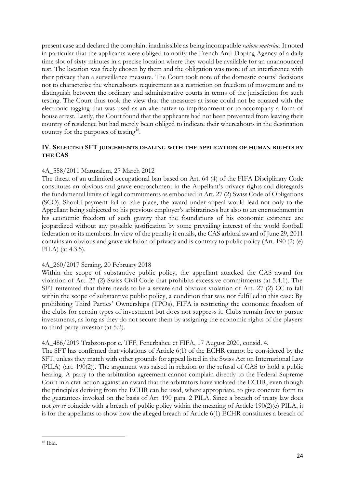present case and declared the complaint inadmissible as being incompatible *ratione materiae*. It noted in particular that the applicants were obliged to notify the French Anti-Doping Agency of a daily time slot of sixty minutes in a precise location where they would be available for an unannounced test. The location was freely chosen by them and the obligation was more of an interference with their privacy than a surveillance measure. The Court took note of the domestic courts' decisions not to characterise the whereabouts requirement as a restriction on freedom of movement and to distinguish between the ordinary and administrative courts in terms of the jurisdiction for such testing. The Court thus took the view that the measures at issue could not be equated with the electronic tagging that was used as an alternative to imprisonment or to accompany a form of house arrest. Lastly, the Court found that the applicants had not been prevented from leaving their country of residence but had merely been obliged to indicate their whereabouts in the destination country for the purposes of testing<sup>18</sup>.

## **IV. SELECTED SFT JUDGEMENTS DEALING WITH THE APPLICATION OF HUMAN RIGHTS BY THE CAS**

## 4A\_558/2011 Matuzalem, 27 March 2012

The threat of an unlimited occupational ban based on Art. 64 (4) of the FIFA Disciplinary Code constitutes an obvious and grave encroachment in the Appellant's privacy rights and disregards the fundamental limits of legal commitments as embodied in Art. 27 (2) Swiss Code of Obligations (SCO). Should payment fail to take place, the award under appeal would lead not only to the Appellant being subjected to his previous employer's arbitrariness but also to an encroachment in his economic freedom of such gravity that the foundations of his economic existence are jeopardized without any possible justification by some prevailing interest of the world football federation or its members. In view of the penalty it entails, the CAS arbitral award of June 29, 2011 contains an obvious and grave violation of privacy and is contrary to public policy (Art. 190 (2) (e) PILA) (at 4.3.5).

### 4A\_260/2017 Seraing, 20 February 2018

Within the scope of substantive public policy, the appellant attacked the CAS award for violation of Art. 27 (2) Swiss Civil Code that prohibits excessive commitments (at 5.4.1). The SFT reiterated that there needs to be a severe and obvious violation of Art. 27 (2) CC to fall within the scope of substantive public policy, a condition that was not fulfilled in this case: By prohibiting Third Parties' Ownerships (TPOs), FIFA is restricting the economic freedom of the clubs for certain types of investment but does not suppress it. Clubs remain free to pursue investments, as long as they do not secure them by assigning the economic rights of the players to third party investor (at 5.2).

### 4A\_486/2019 Trabzonspor c. TFF, Fenerbahce et FIFA, 17 August 2020, consid. 4.

The SFT has confirmed that violations of Article 6(1) of the ECHR cannot be considered by the SFT, unless they match with other grounds for appeal listed in the Swiss Act on International Law (PILA) (art. 190(2)). The argument was raised in relation to the refusal of CAS to hold a public hearing. A party to the arbitration agreement cannot complain directly to the Federal Supreme Court in a civil action against an award that the arbitrators have violated the ECHR, even though the principles deriving from the ECHR can be used, where appropriate, to give concrete form to the guarantees invoked on the basis of Art. 190 para. 2 PILA. Since a breach of treaty law does not *per se* coincide with a breach of public policy within the meaning of Article 190(2)(e) PILA, it is for the appellants to show how the alleged breach of Article 6(1) ECHR constitutes a breach of

**<sup>.</sup>** <sup>18</sup> Ibid.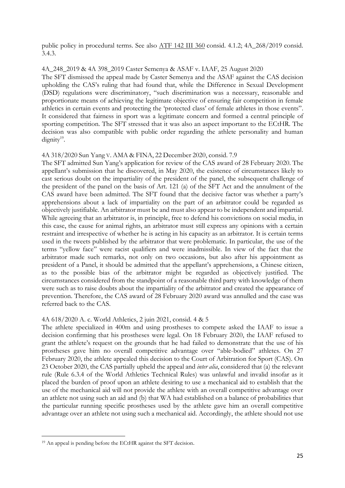public policy in procedural terms. See also [ATF 142 III 360](https://www.bger.ch/ext/eurospider/live/fr/php/aza/http/index.php?lang=fr&type=highlight_simple_query&page=1&from_date=&to_date=&sort=relevance&insertion_date=&top_subcollection_aza=all&query_words=4A_268%2F2019&rank=0&azaclir=aza&highlight_docid=atf%3A%2F%2F142-III-360%3Afr&number_of_ranks=0#page360) consid. 4.1.2; 4A\_268/2019 consid. 3.4.3.

#### 4A\_248\_2019 & 4A 398\_2019 Caster Semenya & ASAF v. IAAF, 25 August 2020

The SFT dismissed the appeal made by Caster Semenya and the ASAF against the CAS decision [upholding](https://www.bger.ch/ext/eurospider/live/fr/php/aza/http/index.php?highlight_docid=aza%3A%2F%2Faza://25-08-2020-4A_248-2019&lang=de&zoom=&type=show_document) the CAS's ruling that had found that, while the Difference in Sexual Development (DSD) regulations were discriminatory, "such discrimination was a necessary, reasonable and proportionate means of achieving the legitimate objective of ensuring fair competition in female athletics in certain events and protecting the 'protected class' of female athletes in those events". It considered that fairness in sport was a legitimate concern and formed a central principle of sporting competition. The SFT stressed that it was also an aspect important to the ECtHR. The decision was also compatible with public order regarding the athlete personality and human  $dignity<sup>19</sup>$ .

#### 4A 318/2020 Sun Yang V. AMA & FINA, 22 December 2020, consid. 7.9

The SFT admitted Sun Yang's application for review of the CAS award of 28 February 2020. The appellant's submission that he discovered, in May 2020, the existence of circumstances likely to cast serious doubt on the impartiality of the president of the panel, the subsequent challenge of the president of the panel on the basis of Art. 121 (a) of the SFT Act and the annulment of the CAS award have been admitted. The SFT found that the decisive factor was whether a party's apprehensions about a lack of impartiality on the part of an arbitrator could be regarded as objectively justifiable. An arbitrator must be and must also appear to be independent and impartial. While agreeing that an arbitrator is, in principle, free to defend his convictions on social media, in this case, the cause for animal rights, an arbitrator must still express any opinions with a certain restraint and irrespective of whether he is acting in his capacity as an arbitrator. It is certain terms used in the tweets published by the arbitrator that were problematic. In particular, the use of the terms "yellow face" were racist qualifiers and were inadmissible. In view of the fact that the arbitrator made such remarks, not only on two occasions, but also after his appointment as president of a Panel, it should be admitted that the appellant's apprehensions, a Chinese citizen, as to the possible bias of the arbitrator might be regarded as objectively justified. The circumstances considered from the standpoint of a reasonable third party with knowledge of them were such as to raise doubts about the impartiality of the arbitrator and created the appearance of prevention. Therefore, the CAS award of 28 February 2020 award was annulled and the case was referred back to the CAS.

### 4A 618/2020 A. c. World Athletics, 2 juin 2021, consid. 4 & 5

The athlete specialized in 400m and using prostheses to compete asked the IAAF to issue a decision confirming that his prostheses were legal. On 18 February 2020, the IAAF refused to grant the athlete's request on the grounds that he had failed to demonstrate that the use of his prostheses gave him no overall competitive advantage over "able-bodied" athletes. On 27 February 2020, the athlete appealed this decision to the Court of Arbitration for Sport (CAS). On 23 October 2020, the CAS partially upheld the appeal and *inter alia*, considered that (a) the relevant rule (Rule 6.3.4 of the World Athletics Technical Rules) was unlawful and invalid insofar as it placed the burden of proof upon an athlete desiring to use a mechanical aid to establish that the use of the mechanical aid will not provide the athlete with an overall competitive advantage over an athlete not using such an aid and (b) that WA had established on a balance of probabilities that the particular running specific prostheses used by the athlete gave him an overall competitive advantage over an athlete not using such a mechanical aid. Accordingly, the athlete should not use

**.** 

<sup>19</sup> An appeal is pending before the ECtHR against the SFT decision.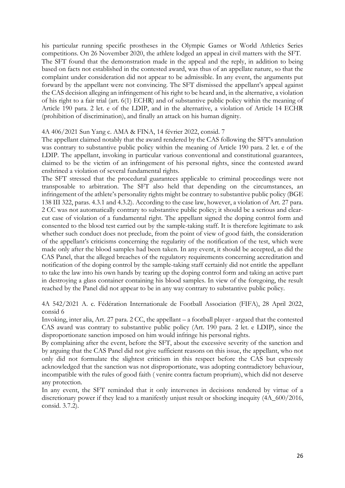his particular running specific prostheses in the Olympic Games or World Athletics Series competitions. On 26 November 2020, the athlete lodged an appeal in civil matters with the SFT. The SFT found that the demonstration made in the appeal and the reply, in addition to being based on facts not established in the contested award, was thus of an appellate nature, so that the complaint under consideration did not appear to be admissible. In any event, the arguments put forward by the appellant were not convincing. The SFT dismissed the appellant's appeal against the CAS decision alleging an infringement of his right to be heard and, in the alternative, a violation of his right to a fair trial (art. 6(1) ECHR) and of substantive public policy within the meaning of Article 190 para. 2 let. e of the LDIP, and in the alternative, a violation of Article 14 ECHR (prohibition of discrimination), and finally an attack on his human dignity.

#### 4A 406/2021 Sun Yang c. AMA & FINA, 14 février 2022, consid. 7

The appellant claimed notably that the award rendered by the CAS following the SFT's annulation was contrary to substantive public policy within the meaning of Article 190 para. 2 let. e of the LDIP. The appellant, invoking in particular various conventional and constitutional guarantees, claimed to be the victim of an infringement of his personal rights, since the contested award enshrined a violation of several fundamental rights.

The SFT stressed that the procedural guarantees applicable to criminal proceedings were not transposable to arbitration. The SFT also held that depending on the circumstances, an infringement of the athlete's personality rights might be contrary to substantive public policy (BGE 138 III 322, paras. 4.3.1 and 4.3.2). According to the case law, however, a violation of Art. 27 para. 2 CC was not automatically contrary to substantive public policy; it should be a serious and clearcut case of violation of a fundamental right. The appellant signed the doping control form and consented to the blood test carried out by the sample-taking staff. It is therefore legitimate to ask whether such conduct does not preclude, from the point of view of good faith, the consideration of the appellant's criticisms concerning the regularity of the notification of the test, which were made only after the blood samples had been taken. In any event, it should be accepted, as did the CAS Panel, that the alleged breaches of the regulatory requirements concerning accreditation and notification of the doping control by the sample-taking staff certainly did not entitle the appellant to take the law into his own hands by tearing up the doping control form and taking an active part in destroying a glass container containing his blood samples. In view of the foregoing, the result reached by the Panel did not appear to be in any way contrary to substantive public policy.

4A 542/2021 A. c. Fédération Internationale de Football Association (FIFA), 28 April 2022, consid 6

Invoking, inter alia, Art. 27 para. 2 CC, the appellant – a football player - argued that the contested CAS award was contrary to substantive public policy (Art. 190 para. 2 let. e LDIP), since the disproportionate sanction imposed on him would infringe his personal rights.

By complaining after the event, before the SFT, about the excessive severity of the sanction and by arguing that the CAS Panel did not give sufficient reasons on this issue, the appellant, who not only did not formulate the slightest criticism in this respect before the CAS but expressly acknowledged that the sanction was not disproportionate, was adopting contradictory behaviour, incompatible with the rules of good faith ( venire contra factum proprium), which did not deserve any protection.

In any event, the SFT reminded that it only intervenes in decisions rendered by virtue of a discretionary power if they lead to a manifestly unjust result or shocking inequity (4A\_600/2016, consid. 3.7.2).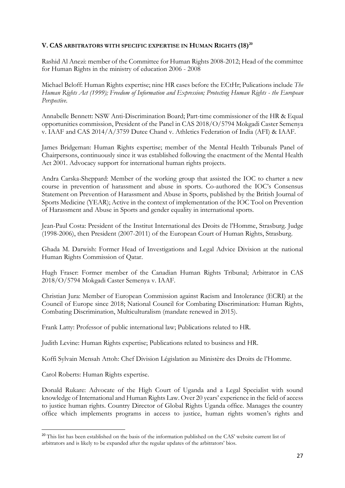# **V. CAS ARBITRATORS WITH SPECIFIC EXPERTISE IN HUMAN RIGHTS (18) 20**

Rashid Al Anezi: member of the Committee for Human Rights 2008-2012; Head of the committee for Human Rights in the ministry of education 2006 - 2008

Michael Beloff: Human Rights expertise; nine HR cases before the ECtHr; Pulications include *The Human Rights Act (1999); Freedom of Information and Expression; Protecting Human Rights - the European Perspective*.

Annabelle Bennett: NSW Anti-Discrimination Board; Part-time commissioner of the HR & Equal opportunities commission, President of the Panel in CAS 2018/O/5794 Mokgadi Caster Semenya v. IAAF and CAS 2014/A/3759 Dutee Chand v. Athletics Federation of India (AFI) & IAAF.

James Bridgeman: Human Rights expertise; member of the Mental Health Tribunals Panel of Chairpersons, continuously since it was established following the enactment of the Mental Health Act 2001. Advocacy support for international human rights projects.

Andra Carska-Sheppard: Member of the working group that assisted the IOC to charter a new course in prevention of harassment and abuse in sports. Co-authored the IOC's Consensus Statement on Prevention of Harassment and Abuse in Sports, published by the British Journal of Sports Medicine (YEAR); Active in the context of implementation of the IOC Tool on Prevention of Harassment and Abuse in Sports and gender equality in international sports.

Jean-Paul Costa: President of the Institut International des Droits de l'Homme, Strasburg. Judge (1998-2006), then President (2007-2011) of the European Court of Human Rights, Strasburg.

Ghada M. Darwish: Former Head of Investigations and Legal Advice Division at the national Human Rights Commission of Qatar.

Hugh Fraser: Former member of the Canadian Human Rights Tribunal; Arbitrator in CAS 2018/O/5794 Mokgadi Caster Semenya v. IAAF.

Christian Jura: Member of European Commission against Racism and Intolerance (ECRI) at the Council of Europe since 2018; National Council for Combating Discrimination: Human Rights, Combating Discrimination, Multiculturalism (mandate renewed in 2015).

Frank Latty: Professor of public international law; Publications related to HR.

Judith Levine: Human Rights expertise; Publications related to business and HR.

Koffi Sylvain Mensah Attoh: Chef Division Législation au Ministère des Droits de l'Homme.

Carol Roberts: Human Rights expertise.

**.** 

Donald Rukare: Advocate of the High Court of Uganda and a Legal Specialist with sound knowledge of International and Human Rights Law. Over 20 years' experience in the field of access to justice human rights. Country Director of Global Rights Uganda office. Manages the country office which implements programs in access to justice, human rights women's rights and

<sup>&</sup>lt;sup>20</sup> This list has been established on the basis of the information published on the CAS' website current list of arbitrators and is likely to be expanded after the regular updates of the arbitrators' bios.